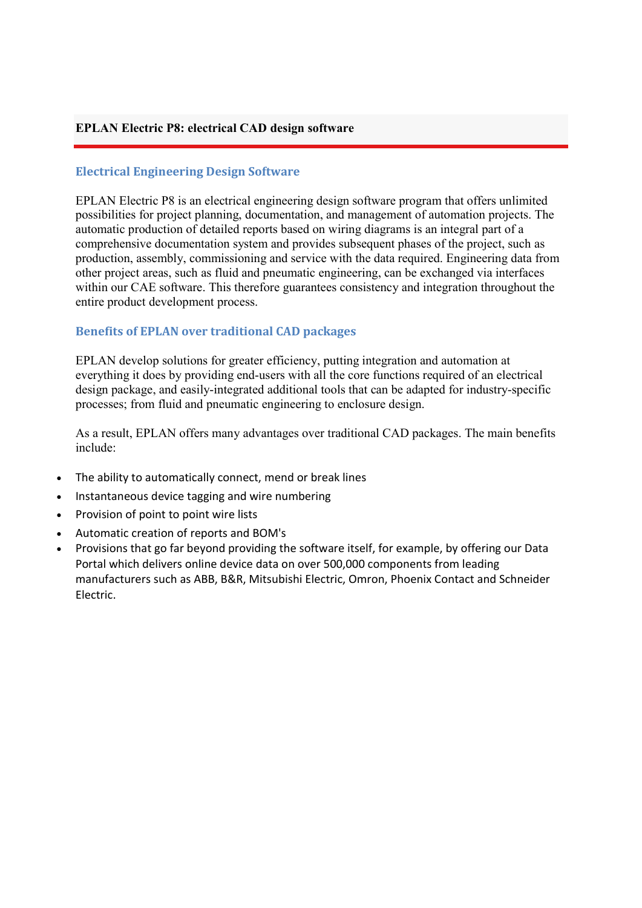### **EPLAN Electric P8: electrical CAD design software**

#### **Electrical Engineering Design Software**

EPLAN Electric P8 is an electrical engineering design software program that offers unlimited possibilities for project planning, documentation, and management of automation projects. The automatic production of detailed reports based on wiring diagrams is an integral part of a comprehensive documentation system and provides subsequent phases of the project, such as production, assembly, commissioning and service with the data required. Engineering data from other project areas, such as fluid and pneumatic engineering, can be exchanged via interfaces within our CAE software. This therefore guarantees consistency and integration throughout the entire product development process.

## **Benefits of EPLAN over traditional CAD packages**

EPLAN develop solutions for greater efficiency, putting integration and automation at everything it does by providing end-users with all the core functions required of an electrical design package, and easily-integrated additional tools that can be adapted for industry-specific processes; from fluid and pneumatic engineering to enclosure design.

As a result, EPLAN offers many advantages over traditional CAD packages. The main benefits include:

- The ability to automatically connect, mend or break lines
- Instantaneous device tagging and wire numbering
- Provision of point to point wire lists
- Automatic creation of reports and BOM's
- Provisions that go far beyond providing the software itself, for example, by offering our Data Portal which delivers online device data on over 500,000 components from leading manufacturers such as ABB, B&R, Mitsubishi Electric, Omron, Phoenix Contact and Schneider Electric.